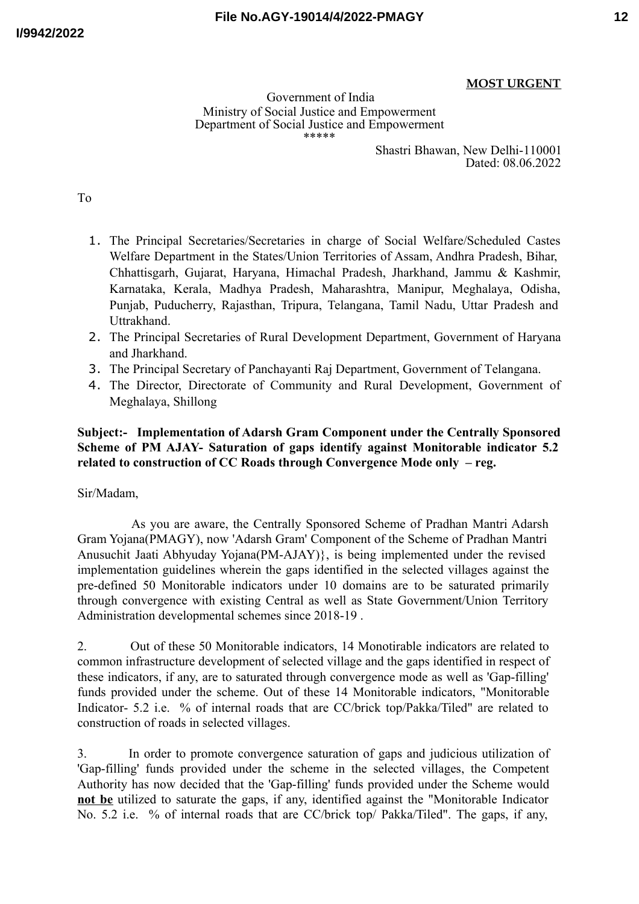Government of India Ministry of Social Justice and Empowerment Department of Social Justice and Empowerment \*\*\*\*\*

Shastri Bhawan, New Delhi-110001 Dated: 08.06.2022

To

- 1. The Principal Secretaries/Secretaries in charge of Social Welfare/Scheduled Castes Welfare Department in the States/Union Territories of Assam, Andhra Pradesh, Bihar, Chhattisgarh, Gujarat, Haryana, Himachal Pradesh, Jharkhand, Jammu & Kashmir, Karnataka, Kerala, Madhya Pradesh, Maharashtra, Manipur, Meghalaya, Odisha, Punjab, Puducherry, Rajasthan, Tripura, Telangana, Tamil Nadu, Uttar Pradesh and Uttrakhand.
- 2. The Principal Secretaries of Rural Development Department, Government of Haryana and Jharkhand.
- 3. The Principal Secretary of Panchayanti Raj Department, Government of Telangana.
- 4. The Director, Directorate of Community and Rural Development, Government of Meghalaya, Shillong

## **Subject:- Implementation of Adarsh Gram Component under the Centrally Sponsored Scheme of PM AJAY- Saturation of gaps identify against Monitorable indicator 5.2 related to construction of CC Roads through Convergence Mode only – reg.**

Sir/Madam,

As you are aware, the Centrally Sponsored Scheme of Pradhan Mantri Adarsh Gram Yojana(PMAGY), now 'Adarsh Gram' Component of the Scheme of Pradhan Mantri Anusuchit Jaati Abhyuday Yojana(PM-AJAY)}, is being implemented under the revised implementation guidelines wherein the gaps identified in the selected villages against the pre-defined 50 Monitorable indicators under 10 domains are to be saturated primarily through convergence with existing Central as well as State Government/Union Territory Administration developmental schemes since 2018-19 .

2. Out of these 50 Monitorable indicators, 14 Monotirable indicators are related to common infrastructure development of selected village and the gaps identified in respect of these indicators, if any, are to saturated through convergence mode as well as 'Gap-filling' funds provided under the scheme. Out of these 14 Monitorable indicators, "Monitorable Indicator- 5.2 i.e. % of internal roads that are CC/brick top/Pakka/Tiled" are related to construction of roads in selected villages.

3. In order to promote convergence saturation of gaps and judicious utilization of 'Gap-filling' funds provided under the scheme in the selected villages, the Competent Authority has now decided that the 'Gap-filling' funds provided under the Scheme would **not be** utilized to saturate the gaps, if any, identified against the "Monitorable Indicator No. 5.2 i.e. % of internal roads that are CC/brick top/ Pakka/Tiled". The gaps, if any,